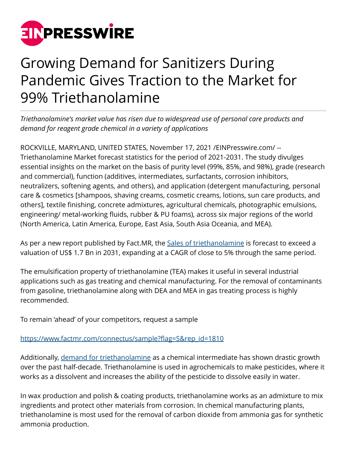

# Growing Demand for Sanitizers During Pandemic Gives Traction to the Market for 99% Triethanolamine

*Triethanolamine's market value has risen due to widespread use of personal care products and demand for reagent grade chemical in a variety of applications*

ROCKVILLE, MARYLAND, UNITED STATES, November 17, 2021 [/EINPresswire.com](http://www.einpresswire.com)/ -- Triethanolamine Market forecast statistics for the period of 2021-2031. The study divulges essential insights on the market on the basis of purity level (99%, 85%, and 98%), grade (research and commercial), function (additives, intermediates, surfactants, corrosion inhibitors, neutralizers, softening agents, and others), and application (detergent manufacturing, personal care & cosmetics [shampoos, shaving creams, cosmetic creams, lotions, sun care products, and others], textile finishing, concrete admixtures, agricultural chemicals, photographic emulsions, engineering/ metal-working fluids, rubber & PU foams), across six major regions of the world (North America, Latin America, Europe, East Asia, South Asia Oceania, and MEA).

As per a new report published by Fact.MR, the [Sales of triethanolamine](https://www.factmr.com/report/1810/triethanolamine-market) is forecast to exceed a valuation of US\$ 1.7 Bn in 2031, expanding at a CAGR of close to 5% through the same period.

The emulsification property of triethanolamine (TEA) makes it useful in several industrial applications such as gas treating and chemical manufacturing. For the removal of contaminants from gasoline, triethanolamine along with DEA and MEA in gas treating process is highly recommended.

To remain 'ahead' of your competitors, request a sample

# [https://www.factmr.com/connectus/sample?flag=S&rep\\_id=1810](https://www.factmr.com/connectus/sample?flag=S&rep_id=1810)

Additionally, [demand for triethanolamine](https://www.factmr.com/report/1810/triethanolamine-market) as a chemical intermediate has shown drastic growth over the past half-decade. Triethanolamine is used in agrochemicals to make pesticides, where it works as a dissolvent and increases the ability of the pesticide to dissolve easily in water.

In wax production and polish & coating products, triethanolamine works as an admixture to mix ingredients and protect other materials from corrosion. In chemical manufacturing plants, triethanolamine is most used for the removal of carbon dioxide from ammonia gas for synthetic ammonia production.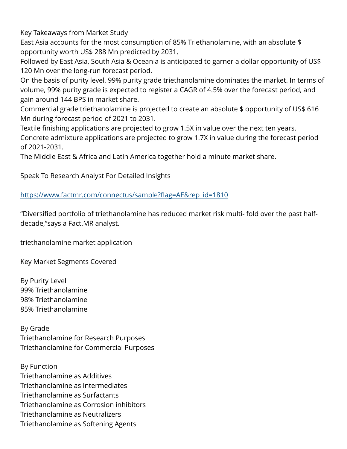Key Takeaways from Market Study

East Asia accounts for the most consumption of 85% Triethanolamine, with an absolute \$ opportunity worth US\$ 288 Mn predicted by 2031.

Followed by East Asia, South Asia & Oceania is anticipated to garner a dollar opportunity of US\$ 120 Mn over the long-run forecast period.

On the basis of purity level, 99% purity grade triethanolamine dominates the market. In terms of volume, 99% purity grade is expected to register a CAGR of 4.5% over the forecast period, and gain around 144 BPS in market share.

Commercial grade triethanolamine is projected to create an absolute \$ opportunity of US\$ 616 Mn during forecast period of 2021 to 2031.

Textile finishing applications are projected to grow 1.5X in value over the next ten years. Concrete admixture applications are projected to grow 1.7X in value during the forecast period of 2021-2031.

The Middle East & Africa and Latin America together hold a minute market share.

Speak To Research Analyst For Detailed Insights

[https://www.factmr.com/connectus/sample?flag=AE&rep\\_id=1810](https://www.factmr.com/connectus/sample?flag=AE&rep_id=1810)

"Diversified portfolio of triethanolamine has reduced market risk multi- fold over the past halfdecade,"says a Fact.MR analyst.

triethanolamine market application

Key Market Segments Covered

By Purity Level 99% Triethanolamine 98% Triethanolamine 85% Triethanolamine

By Grade Triethanolamine for Research Purposes Triethanolamine for Commercial Purposes

By Function Triethanolamine as Additives Triethanolamine as Intermediates Triethanolamine as Surfactants Triethanolamine as Corrosion inhibitors Triethanolamine as Neutralizers Triethanolamine as Softening Agents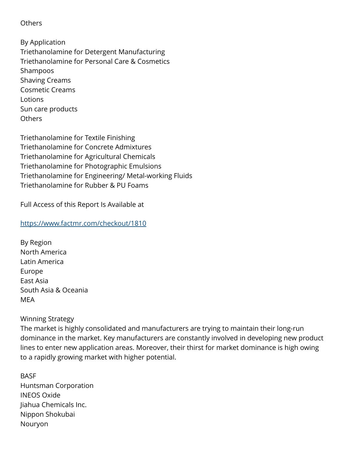**Others** 

By Application Triethanolamine for Detergent Manufacturing Triethanolamine for Personal Care & Cosmetics Shampoos Shaving Creams Cosmetic Creams Lotions Sun care products Others

Triethanolamine for Textile Finishing Triethanolamine for Concrete Admixtures Triethanolamine for Agricultural Chemicals Triethanolamine for Photographic Emulsions Triethanolamine for Engineering/ Metal-working Fluids Triethanolamine for Rubber & PU Foams

Full Access of this Report Is Available at

# <https://www.factmr.com/checkout/1810>

By Region North America Latin America Europe East Asia South Asia & Oceania MEA

#### Winning Strategy

The market is highly consolidated and manufacturers are trying to maintain their long-run dominance in the market. Key manufacturers are constantly involved in developing new product lines to enter new application areas. Moreover, their thirst for market dominance is high owing to a rapidly growing market with higher potential.

**BASF** Huntsman Corporation INEOS Oxide Jiahua Chemicals Inc. Nippon Shokubai Nouryon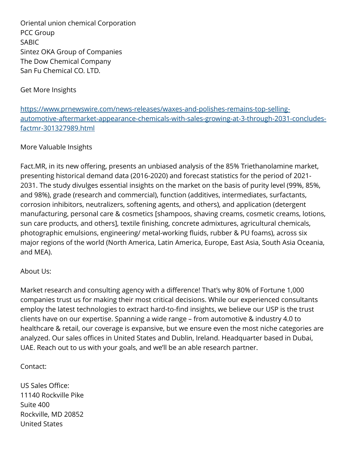Oriental union chemical Corporation PCC Group SABIC Sintez OKA Group of Companies The Dow Chemical Company San Fu Chemical CO. LTD.

Get More Insights

[https://www.prnewswire.com/news-releases/waxes-and-polishes-remains-top-selling](https://www.prnewswire.com/news-releases/waxes-and-polishes-remains-top-selling-automotive-aftermarket-appearance-chemicals-with-sales-growing-at-3-through-2031-concludes-factmr-301327989.html)[automotive-aftermarket-appearance-chemicals-with-sales-growing-at-3-through-2031-concludes](https://www.prnewswire.com/news-releases/waxes-and-polishes-remains-top-selling-automotive-aftermarket-appearance-chemicals-with-sales-growing-at-3-through-2031-concludes-factmr-301327989.html)[factmr-301327989.html](https://www.prnewswire.com/news-releases/waxes-and-polishes-remains-top-selling-automotive-aftermarket-appearance-chemicals-with-sales-growing-at-3-through-2031-concludes-factmr-301327989.html)

# More Valuable Insights

Fact.MR, in its new offering, presents an unbiased analysis of the 85% Triethanolamine market, presenting historical demand data (2016-2020) and forecast statistics for the period of 2021- 2031. The study divulges essential insights on the market on the basis of purity level (99%, 85%, and 98%), grade (research and commercial), function (additives, intermediates, surfactants, corrosion inhibitors, neutralizers, softening agents, and others), and application (detergent manufacturing, personal care & cosmetics [shampoos, shaving creams, cosmetic creams, lotions, sun care products, and others], textile finishing, concrete admixtures, agricultural chemicals, photographic emulsions, engineering/ metal-working fluids, rubber & PU foams), across six major regions of the world (North America, Latin America, Europe, East Asia, South Asia Oceania, and MEA).

#### About Us:

Market research and consulting agency with a difference! That's why 80% of Fortune 1,000 companies trust us for making their most critical decisions. While our experienced consultants employ the latest technologies to extract hard-to-find insights, we believe our USP is the trust clients have on our expertise. Spanning a wide range – from automotive & industry 4.0 to healthcare & retail, our coverage is expansive, but we ensure even the most niche categories are analyzed. Our sales offices in United States and Dublin, Ireland. Headquarter based in Dubai, UAE. Reach out to us with your goals, and we'll be an able research partner.

# Contact:

US Sales Office: 11140 Rockville Pike Suite 400 Rockville, MD 20852 United States